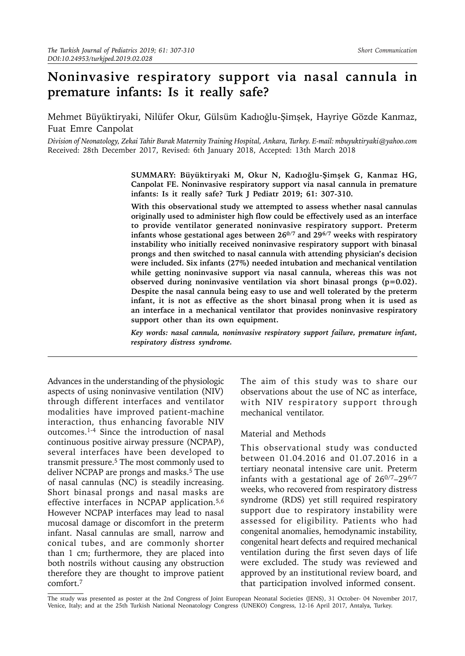# **Noninvasive respiratory support via nasal cannula in premature infants: Is it really safe?**

Mehmet Büyüktiryaki, Nilüfer Okur, Gülsüm Kadıoğlu-Şimşek, Hayriye Gözde Kanmaz, Fuat Emre Canpolat

*Division of Neonatology, Zekai Tahir Burak Maternity Training Hospital, Ankara, Turkey. E-mail: [mbuyuktiryaki@yahoo.com](mailto:mbuyuktiryaki@yahoo.com)* Received: 28th December 2017, Revised: 6th January 2018, Accepted: 13th March 2018

> **SUMMARY: Büyüktiryaki M, Okur N, Kadıoğlu-Şimşek G, Kanmaz HG, Canpolat FE. Noninvasive respiratory support via nasal cannula in premature infants: Is it really safe? Turk J Pediatr 2019; 61: 307-310.**

> **With this observational study we attempted to assess whether nasal cannulas originally used to administer high flow could be effectively used as an interface to provide ventilator generated noninvasive respiratory support. Preterm infants whose gestational ages between 260/7 and 296/7 weeks with respiratory instability who initially received noninvasive respiratory support with binasal prongs and then switched to nasal cannula with attending physician's decision were included. Six infants (27%) needed intubation and mechanical ventilation while getting noninvasive support via nasal cannula, whereas this was not observed during noninvasive ventilation via short binasal prongs (p=0.02). Despite the nasal cannula being easy to use and well tolerated by the preterm infant, it is not as effective as the short binasal prong when it is used as an interface in a mechanical ventilator that provides noninvasive respiratory support other than its own equipment.**

> *Key words: nasal cannula, noninvasive respiratory support failure, premature infant, respiratory distress syndrome.*

Advances in the understanding of the physiologic aspects of using noninvasive ventilation (NIV) through different interfaces and ventilator modalities have improved patient-machine interaction, thus enhancing favorable NIV outcomes.1-4 Since the introduction of nasal continuous positive airway pressure (NCPAP), several interfaces have been developed to transmit pressure.5 The most commonly used to deliver NCPAP are prongs and masks.<sup>5</sup> The use of nasal cannulas (NC) is steadily increasing. Short binasal prongs and nasal masks are effective interfaces in NCPAP application.5,6 However NCPAP interfaces may lead to nasal mucosal damage or discomfort in the preterm infant. Nasal cannulas are small, narrow and conical tubes, and are commonly shorter than 1 cm; furthermore, they are placed into both nostrils without causing any obstruction therefore they are thought to improve patient comfort.7

The aim of this study was to share our observations about the use of NC as interface, with NIV respiratory support through mechanical ventilator.

#### Material and Methods

This observational study was conducted between 01.04.2016 and 01.07.2016 in a tertiary neonatal intensive care unit. Preterm infants with a gestational age of  $26^{0/7}$ -29<sup>6/7</sup> weeks, who recovered from respiratory distress syndrome (RDS) yet still required respiratory support due to respiratory instability were assessed for eligibility. Patients who had congenital anomalies, hemodynamic instability, congenital heart defects and required mechanical ventilation during the first seven days of life were excluded. The study was reviewed and approved by an institutional review board, and that participation involved informed consent.

The study was presented as poster at the 2nd Congress of Joint European Neonatal Societies (JENS), 31 October- 04 November 2017, Venice, Italy; and at the 25th Turkish National Neonatology Congress (UNEKO) Congress, 12-16 April 2017, Antalya, Turkey.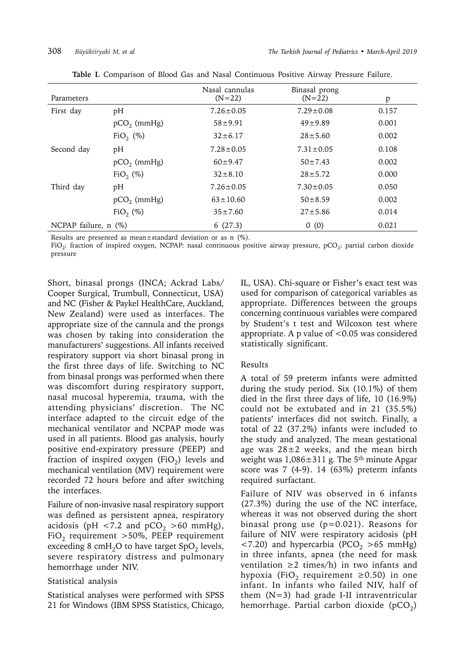| Parameters                |                         | Nasal cannulas<br>$(N=22)$ | Binasal prong<br>$(N=22)$ | p     |
|---------------------------|-------------------------|----------------------------|---------------------------|-------|
| First day                 | pH                      | $7.26 \pm 0.05$            | $7.29 \pm 0.08$           | 0.157 |
|                           | $pCO2$ (mmHg)           | $58 + 9.91$                | $49 + 9.89$               | 0.001 |
|                           | FiO <sub>2</sub> $(\%)$ | $32 \pm 6.17$              | $28 + 5.60$               | 0.002 |
| Second day                | pH                      | $7.28 \pm 0.05$            | $7.31 \pm 0.05$           | 0.108 |
|                           | $pCO2$ (mmHg)           | $60 + 9.47$                | $50 \pm 7.43$             | 0.002 |
|                           | FiO <sub>2</sub> (%)    | $32 \pm 8.10$              | $28 + 5.72$               | 0.000 |
| Third day                 | pH                      | $7.26 \pm 0.05$            | $7.30 \pm 0.05$           | 0.050 |
|                           | $pCO2$ (mmHg)           | $63 \pm 10.60$             | $50 \pm 8.59$             | 0.002 |
|                           | FiO <sub>2</sub> (%)    | $35 \pm 7.60$              | $27 + 5.86$               | 0.014 |
| NCPAP failure, $n$ $(\%)$ |                         | 6(27.3)                    | 0(0)                      | 0.021 |

**Table I.** Comparison of Blood Gas and Nasal Continuous Positive Airway Pressure Failure.

Results are presented as mean±standard deviation or as n (%).

FiO<sub>2</sub>: fraction of inspired oxygen, NCPAP: nasal continuous positive airway pressure, pCO<sub>2</sub>: partial carbon dioxide pressure

Short, binasal prongs (INCA; Ackrad Labs/ Cooper Surgical, Trumbull, Connecticut, USA) and NC (Fisher & Paykel HealthCare, Auckland, New Zealand) were used as interfaces. The appropriate size of the cannula and the prongs was chosen by taking into consideration the manufacturers' suggestions. All infants received respiratory support via short binasal prong in the first three days of life. Switching to NC from binasal prongs was performed when there was discomfort during respiratory support, nasal mucosal hyperemia, trauma, with the attending physicians' discretion. The NC interface adapted to the circuit edge of the mechanical ventilator and NCPAP mode was used in all patients. Blood gas analysis, hourly positive end-expiratory pressure (PEEP) and fraction of inspired oxygen (FiO<sub>2</sub>) levels and mechanical ventilation (MV) requirement were recorded 72 hours before and after switching the interfaces.

Failure of non-invasive nasal respiratory support was defined as persistent apnea, respiratory acidosis (pH <7.2 and  $pCO<sub>2</sub> >60$  mmHg), FiO<sub>2</sub> requirement >50%, PEEP requirement exceeding 8 cmH<sub>2</sub>O to have target SpO<sub>2</sub> levels, severe respiratory distress and pulmonary hemorrhage under NIV.

## Statistical analysis

Statistical analyses were performed with SPSS 21 for Windows (IBM SPSS Statistics, Chicago,

IL, USA). Chi-square or Fisher's exact test was used for comparison of categorical variables as appropriate. Differences between the groups concerning continuous variables were compared by Student's t test and Wilcoxon test where appropriate. A p value of  $< 0.05$  was considered statistically significant.

## Results

A total of 59 preterm infants were admitted during the study period. Six (10.1%) of them died in the first three days of life, 10 (16.9%) could not be extubated and in 21 (35.5%) patients' interfaces did not switch. Finally, a total of 22 (37.2%) infants were included to the study and analyzed. The mean gestational age was  $28\pm2$  weeks, and the mean birth weight was  $1,086\pm311$  g. The 5<sup>th</sup> minute Apgar score was 7 (4-9). 14 (63%) preterm infants required surfactant.

Failure of NIV was observed in 6 infants (27.3%) during the use of the NC interface, whereas it was not observed during the short binasal prong use (p=0.021). Reasons for failure of NIV were respiratory acidosis (pH  $\langle 7.20 \rangle$  and hypercarbia (PCO<sub>2</sub>  $> 65$  mmHg) in three infants, apnea (the need for mask ventilation  $\geq 2$  times/h) in two infants and hypoxia (FiO<sub>2</sub> requirement  $\geq$ 0.50) in one infant. In infants who failed NIV, half of them  $(N=3)$  had grade I-II intraventricular hemorrhage. Partial carbon dioxide ( $pCO<sub>2</sub>$ )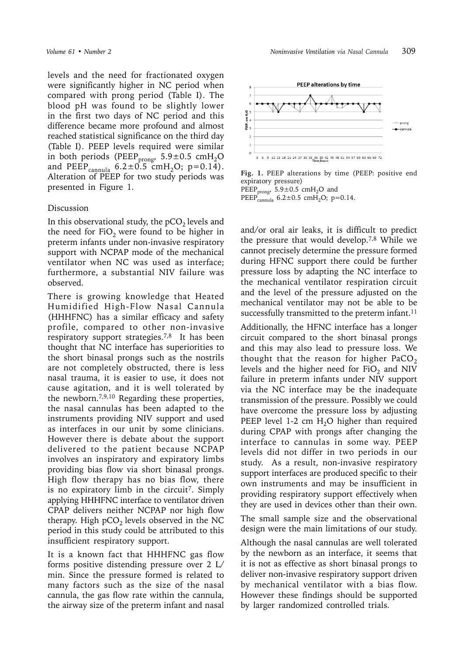levels and the need for fractionated oxygen were significantly higher in NC period when compared with prong period (Table I). The blood pH was found to be slightly lower in the first two days of NC period and this difference became more profound and almost reached statistical significance on the third day (Table I). PEEP levels required were similar in both periods (PEEP<sub>prong</sub>,  $5.9 \pm 0.5$  cmH<sub>2</sub>O and PEEP<sub>cannula</sub>  $6.2 \pm 0.5$  cmH<sub>2</sub>O; p=0.14). Alteration of PEEP for two study periods was presented in Figure 1.

### Discussion

In this observational study, the  $pCO<sub>2</sub>$  levels and the need for  $FiO<sub>2</sub>$  were found to be higher in preterm infants under non-invasive respiratory support with NCPAP mode of the mechanical ventilator when NC was used as interface; furthermore, a substantial NIV failure was observed.

There is growing knowledge that Heated Humidified High-Flow Nasal Cannula (HHHFNC) has a similar efficacy and safety profile, compared to other non-invasive respiratory support strategies.<sup>7,8</sup> It has been thought that NC interface has superiorities to the short binasal prongs such as the nostrils are not completely obstructed, there is less nasal trauma, it is easier to use, it does not cause agitation, and it is well tolerated by the newborn.7,9,10 Regarding these properties, the nasal cannulas has been adapted to the instruments providing NIV support and used as interfaces in our unit by some clinicians. However there is debate about the support delivered to the patient because NCPAP involves an inspiratory and expiratory limbs providing bias flow via short binasal prongs. High flow therapy has no bias flow, there is no expiratory limb in the circuit<sup>7</sup>. Simply applying HHHFNC interface to ventilator driven CPAP delivers neither NCPAP nor high flow therapy. High  $pCO<sub>2</sub>$  levels observed in the NC period in this study could be attributed to this insufficient respiratory support.

It is a known fact that HHHFNC gas flow forms positive distending pressure over 2 L/ min. Since the pressure formed is related to many factors such as the size of the nasal cannula, the gas flow rate within the cannula, the airway size of the preterm infant and nasal



**Fig. 1.** PEEP alterations by time (PEEP: positive end expiratory pressure) PEEP<sub>prong</sub>,  $5.9 \pm 0.5$  cmH<sub>2</sub>O and PEEP<sub>cannula</sub>  $6.2 \pm 0.5$  cmH<sub>2</sub>O; p=0.14.

and/or oral air leaks, it is difficult to predict the pressure that would develop.7,8 While we cannot precisely determine the pressure formed during HFNC support there could be further pressure loss by adapting the NC interface to the mechanical ventilator respiration circuit and the level of the pressure adjusted on the mechanical ventilator may not be able to be successfully transmitted to the preterm infant.<sup>11</sup>

Additionally, the HFNC interface has a longer circuit compared to the short binasal prongs and this may also lead to pressure loss. We thought that the reason for higher PaCO<sub>2</sub> levels and the higher need for  $FiO<sub>2</sub>$  and NIV failure in preterm infants under NIV support via the NC interface may be the inadequate transmission of the pressure. Possibly we could have overcome the pressure loss by adjusting PEEP level 1-2 cm  $H_2O$  higher than required during CPAP with prongs after changing the interface to cannulas in some way. PEEP levels did not differ in two periods in our study. As a result, non-invasive respiratory support interfaces are produced specific to their own instruments and may be insufficient in providing respiratory support effectively when they are used in devices other than their own.

The small sample size and the observational design were the main limitations of our study.

Although the nasal cannulas are well tolerated by the newborn as an interface, it seems that it is not as effective as short binasal prongs to deliver non-invasive respiratory support driven by mechanical ventilator with a bias flow. However these findings should be supported by larger randomized controlled trials.